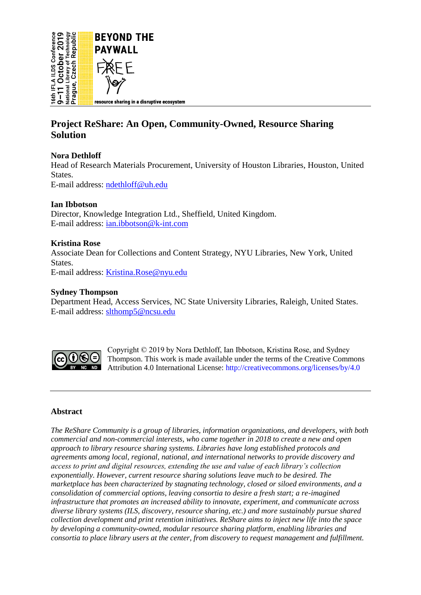

# **Project ReShare: An Open, Community-Owned, Resource Sharing Solution**

# **Nora Dethloff**

Head of Research Materials Procurement, University of Houston Libraries, Houston, United States.

E-mail address: [ndethloff@uh.edu](mailto:ndethloff@uh.edu)

# **Ian Ibbotson**

Director, Knowledge Integration Ltd., Sheffield, United Kingdom. E-mail address: [ian.ibbotson@k-int.com](mailto:ian.ibbotson@k-int.com)

# **Kristina Rose**

Associate Dean for Collections and Content Strategy, NYU Libraries, New York, United States. E-mail address: [Kristina.Rose@nyu.edu](mailto:Kristina.Rose@nyu.edu)

# **Sydney Thompson**

Department Head, Access Services, NC State University Libraries, Raleigh, United States. E-mail address: [slthomp5@ncsu.edu](mailto:slthomp5@ncsu.edu)



Copyright © 2019 by Nora Dethloff, Ian Ibbotson, Kristina Rose, and Sydney Thompson. This work is made available under the terms of the Creative Commons Attribution 4.0 International License:<http://creativecommons.org/licenses/by/4.0>

# **Abstract**

*The ReShare Community is a group of libraries, information organizations, and developers, with both commercial and non-commercial interests, who came together in 2018 to create a new and open approach to library resource sharing systems. Libraries have long established protocols and agreements among local, regional, national, and international networks to provide discovery and access to print and digital resources, extending the use and value of each library's collection exponentially. However, current resource sharing solutions leave much to be desired. The marketplace has been characterized by stagnating technology, closed or siloed environments, and a consolidation of commercial options, leaving consortia to desire a fresh start; a re-imagined infrastructure that promotes an increased ability to innovate, experiment, and communicate across diverse library systems (ILS, discovery, resource sharing, etc.) and more sustainably pursue shared collection development and print retention initiatives. ReShare aims to inject new life into the space by developing a community-owned, modular resource sharing platform, enabling libraries and consortia to place library users at the center, from discovery to request management and fulfillment.*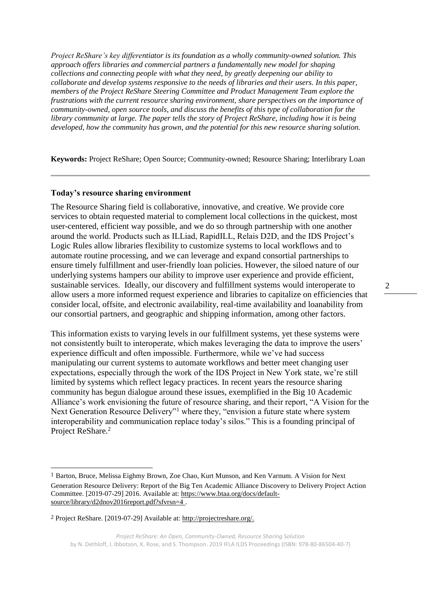*Project ReShare's key differentiator is its foundation as a wholly community-owned solution. This approach offers libraries and commercial partners a fundamentally new model for shaping collections and connecting people with what they need, by greatly deepening our ability to collaborate and develop systems responsive to the needs of libraries and their users. In this paper, members of the Project ReShare Steering Committee and Product Management Team explore the frustrations with the current resource sharing environment, share perspectives on the importance of community-owned, open source tools, and discuss the benefits of this type of collaboration for the library community at large. The paper tells the story of Project ReShare, including how it is being developed, how the community has grown, and the potential for this new resource sharing solution.* 

**Keywords:** Project ReShare; Open Source; Community-owned; Resource Sharing; Interlibrary Loan

#### **Today's resource sharing environment**

The Resource Sharing field is collaborative, innovative, and creative. We provide core services to obtain requested material to complement local collections in the quickest, most user-centered, efficient way possible, and we do so through partnership with one another around the world. Products such as ILLiad, RapidILL, Relais D2D, and the IDS Project's Logic Rules allow libraries flexibility to customize systems to local workflows and to automate routine processing, and we can leverage and expand consortial partnerships to ensure timely fulfillment and user-friendly loan policies. However, the siloed nature of our underlying systems hampers our ability to improve user experience and provide efficient, sustainable services. Ideally, our discovery and fulfillment systems would interoperate to allow users a more informed request experience and libraries to capitalize on efficiencies that consider local, offsite, and electronic availability, real-time availability and loanability from our consortial partners, and geographic and shipping information, among other factors.

This information exists to varying levels in our fulfillment systems, yet these systems were not consistently built to interoperate, which makes leveraging the data to improve the users' experience difficult and often impossible. Furthermore, while we've had success manipulating our current systems to automate workflows and better meet changing user expectations, especially through the work of the IDS Project in New York state, we're still limited by systems which reflect legacy practices. In recent years the resource sharing community has begun dialogue around these issues, exemplified in the Big 10 Academic Alliance's work envisioning the future of resource sharing, and their report, "A Vision for the Next Generation Resource Delivery"<sup>1</sup> where they, "envision a future state where system interoperability and communication replace today's silos." This is a founding principal of Project ReShare.<sup>2</sup>

 $\overline{a}$ 

<sup>1</sup> Barton, Bruce, Melissa Eighmy Brown, Zoe Chao, Kurt Munson, and Ken Varnum. A Vision for Next Generation Resource Delivery: Report of the Big Ten Academic Alliance Discovery to Delivery Project Action Committee. [2019-07-29] 2016. Available at: [https://www.btaa.org/docs/default](https://www.btaa.org/docs/default-source/library/d2dnov2016report.pdf?sfvrsn=4)[source/library/d2dnov2016report.pdf?sfvrsn=4](https://www.btaa.org/docs/default-source/library/d2dnov2016report.pdf?sfvrsn=4).

<sup>2</sup> Project ReShare. [2019-07-29] Available at: [http://projectreshare.org/.](http://projectreshare.org/)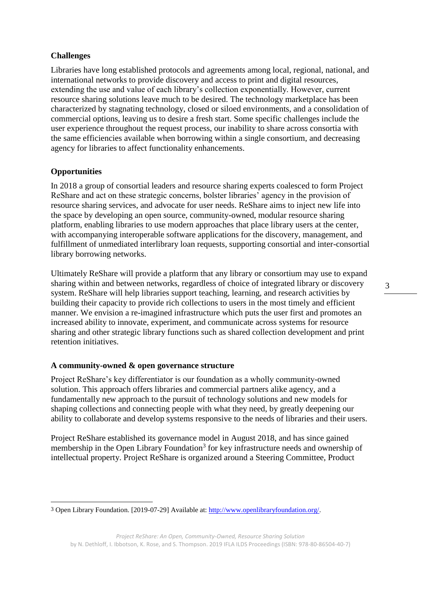# **Challenges**

Libraries have long established protocols and agreements among local, regional, national, and international networks to provide discovery and access to print and digital resources, extending the use and value of each library's collection exponentially. However, current resource sharing solutions leave much to be desired. The technology marketplace has been characterized by stagnating technology, closed or siloed environments, and a consolidation of commercial options, leaving us to desire a fresh start. Some specific challenges include the user experience throughout the request process, our inability to share across consortia with the same efficiencies available when borrowing within a single consortium, and decreasing agency for libraries to affect functionality enhancements.

# **Opportunities**

In 2018 a group of consortial leaders and resource sharing experts coalesced to form Project ReShare and act on these strategic concerns, bolster libraries' agency in the provision of resource sharing services, and advocate for user needs. ReShare aims to inject new life into the space by developing an open source, community-owned, modular resource sharing platform, enabling libraries to use modern approaches that place library users at the center, with accompanying interoperable software applications for the discovery, management, and fulfillment of unmediated interlibrary loan requests, supporting consortial and inter-consortial library borrowing networks.

Ultimately ReShare will provide a platform that any library or consortium may use to expand sharing within and between networks, regardless of choice of integrated library or discovery system. ReShare will help libraries support teaching, learning, and research activities by building their capacity to provide rich collections to users in the most timely and efficient manner. We envision a re-imagined infrastructure which puts the user first and promotes an increased ability to innovate, experiment, and communicate across systems for resource sharing and other strategic library functions such as shared collection development and print retention initiatives.

## **A community-owned & open governance structure**

Project ReShare's key differentiator is our foundation as a wholly community-owned solution. This approach offers libraries and commercial partners alike agency, and a fundamentally new approach to the pursuit of technology solutions and new models for shaping collections and connecting people with what they need, by greatly deepening our ability to collaborate and develop systems responsive to the needs of libraries and their users.

Project ReShare established its governance model in August 2018, and has since gained membership in the Open Library Foundation<sup>3</sup> for key infrastructure needs and ownership of intellectual property. Project ReShare is organized around a Steering Committee, Product

 $\overline{a}$ 3 Open Library Foundation. [2019-07-29] Available at: [http://www.openlibraryfoundation.org/.](http://www.openlibraryfoundation.org/)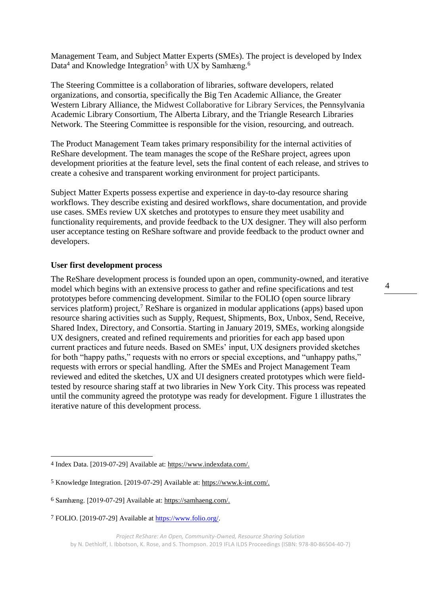Management Team, and Subject Matter Experts (SMEs). The project is developed by Index Data<sup>4</sup> and Knowledge Integration<sup>5</sup> with UX by Samhæng.<sup>6</sup>

The Steering Committee is a collaboration of libraries, software developers, related organizations, and consortia, specifically the Big Ten Academic Alliance, the Greater Western Library Alliance, the Midwest Collaborative for Library Services, the Pennsylvania Academic Library Consortium, The Alberta Library, and the Triangle Research Libraries Network. The Steering Committee is responsible for the vision, resourcing, and outreach.

The Product Management Team takes primary responsibility for the internal activities of ReShare development. The team manages the scope of the ReShare project, agrees upon development priorities at the feature level, sets the final content of each release, and strives to create a cohesive and transparent working environment for project participants.

Subject Matter Experts possess expertise and experience in day-to-day resource sharing workflows. They describe existing and desired workflows, share documentation, and provide use cases. SMEs review UX sketches and prototypes to ensure they meet usability and functionality requirements, and provide feedback to the UX designer. They will also perform user acceptance testing on ReShare software and provide feedback to the product owner and developers.

#### **User first development process**

 $\overline{a}$ 

The ReShare development process is founded upon an open, community-owned, and iterative model which begins with an extensive process to gather and refine specifications and test prototypes before commencing development. Similar to the FOLIO (open source library services platform) project,<sup>7</sup> ReShare is organized in modular applications (apps) based upon resource sharing activities such as Supply, Request, Shipments, Box, Unbox, Send, Receive, Shared Index, Directory, and Consortia. Starting in January 2019, SMEs, working alongside UX designers, created and refined requirements and priorities for each app based upon current practices and future needs. Based on SMEs' input, UX designers provided sketches for both "happy paths," requests with no errors or special exceptions, and "unhappy paths," requests with errors or special handling. After the SMEs and Project Management Team reviewed and edited the sketches, UX and UI designers created prototypes which were fieldtested by resource sharing staff at two libraries in New York City. This process was repeated until the community agreed the prototype was ready for development. Figure 1 illustrates the iterative nature of this development process.

<sup>4</sup> Index Data. [2019-07-29] Available at: [https://www.indexdata.com/.](https://www.indexdata.com/)

<sup>5</sup> Knowledge Integration. [2019-07-29] Available at[: https://www.k-int.com/.](https://www.k-int.com/)

<sup>6</sup> Samhæng. [2019-07-29] Available at[: https://samhaeng.com/.](https://samhaeng.com/)

<sup>7</sup> FOLIO. [2019-07-29] Available at [https://www.folio.org/.](https://www.folio.org/)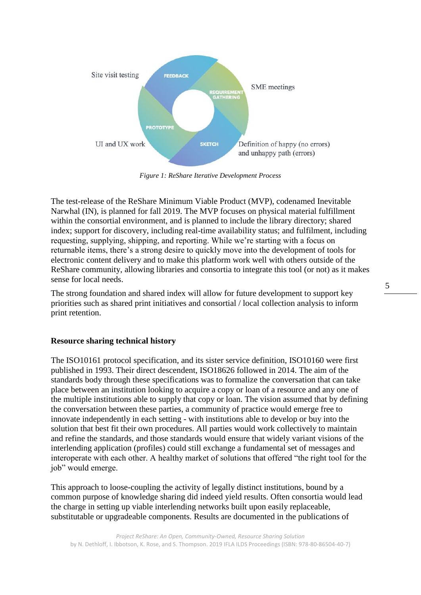

*Figure 1: ReShare Iterative Development Process*

The test-release of the ReShare Minimum Viable Product (MVP), codenamed Inevitable Narwhal (IN), is planned for fall 2019. The MVP focuses on physical material fulfillment within the consortial environment, and is planned to include the library directory; shared index; support for discovery, including real-time availability status; and fulfilment, including requesting, supplying, shipping, and reporting. While we're starting with a focus on returnable items, there's a strong desire to quickly move into the development of tools for electronic content delivery and to make this platform work well with others outside of the ReShare community, allowing libraries and consortia to integrate this tool (or not) as it makes sense for local needs.

The strong foundation and shared index will allow for future development to support key priorities such as shared print initiatives and consortial / local collection analysis to inform print retention.

## **Resource sharing technical history**

The ISO10161 protocol specification, and its sister service definition, ISO10160 were first published in 1993. Their direct descendent, ISO18626 followed in 2014. The aim of the standards body through these specifications was to formalize the conversation that can take place between an institution looking to acquire a copy or loan of a resource and any one of the multiple institutions able to supply that copy or loan. The vision assumed that by defining the conversation between these parties, a community of practice would emerge free to innovate independently in each setting - with institutions able to develop or buy into the solution that best fit their own procedures. All parties would work collectively to maintain and refine the standards, and those standards would ensure that widely variant visions of the interlending application (profiles) could still exchange a fundamental set of messages and interoperate with each other. A healthy market of solutions that offered "the right tool for the job" would emerge.

This approach to loose-coupling the activity of legally distinct institutions, bound by a common purpose of knowledge sharing did indeed yield results. Often consortia would lead the charge in setting up viable interlending networks built upon easily replaceable, substitutable or upgradeable components. Results are documented in the publications of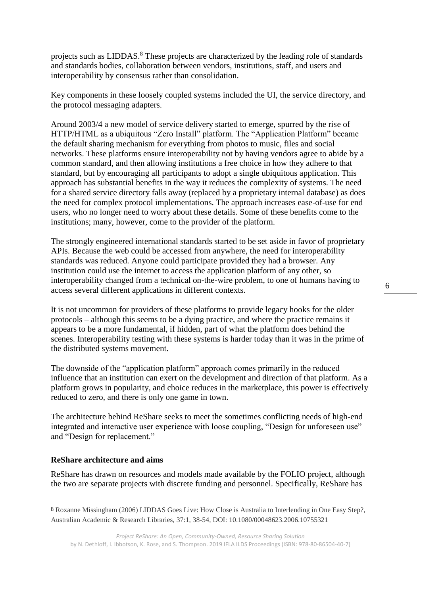projects such as LIDDAS.<sup>8</sup> These projects are characterized by the leading role of standards and standards bodies, collaboration between vendors, institutions, staff, and users and interoperability by consensus rather than consolidation.

Key components in these loosely coupled systems included the UI, the service directory, and the protocol messaging adapters.

Around 2003/4 a new model of service delivery started to emerge, spurred by the rise of HTTP/HTML as a ubiquitous "Zero Install" platform. The "Application Platform" became the default sharing mechanism for everything from photos to music, files and social networks. These platforms ensure interoperability not by having vendors agree to abide by a common standard, and then allowing institutions a free choice in how they adhere to that standard, but by encouraging all participants to adopt a single ubiquitous application. This approach has substantial benefits in the way it reduces the complexity of systems. The need for a shared service directory falls away (replaced by a proprietary internal database) as does the need for complex protocol implementations. The approach increases ease-of-use for end users, who no longer need to worry about these details. Some of these benefits come to the institutions; many, however, come to the provider of the platform.

The strongly engineered international standards started to be set aside in favor of proprietary APIs. Because the web could be accessed from anywhere, the need for interoperability standards was reduced. Anyone could participate provided they had a browser. Any institution could use the internet to access the application platform of any other, so interoperability changed from a technical on-the-wire problem, to one of humans having to access several different applications in different contexts.

It is not uncommon for providers of these platforms to provide legacy hooks for the older protocols – although this seems to be a dying practice, and where the practice remains it appears to be a more fundamental, if hidden, part of what the platform does behind the scenes. Interoperability testing with these systems is harder today than it was in the prime of the distributed systems movement.

The downside of the "application platform" approach comes primarily in the reduced influence that an institution can exert on the development and direction of that platform. As a platform grows in popularity, and choice reduces in the marketplace, this power is effectively reduced to zero, and there is only one game in town.

The architecture behind ReShare seeks to meet the sometimes conflicting needs of high-end integrated and interactive user experience with loose coupling, "Design for unforeseen use" and "Design for replacement."

## **ReShare architecture and aims**

 $\overline{a}$ 

ReShare has drawn on resources and models made available by the FOLIO project, although the two are separate projects with discrete funding and personnel. Specifically, ReShare has

<sup>8</sup> Roxanne Missingham (2006) LIDDAS Goes Live: How Close is Australia to Interlending in One Easy Step?, Australian Academic & Research Libraries, 37:1, 38-54, DOI: [10.1080/00048623.2006.10755321](https://doi.org/10.1080/00048623.2006.10755321)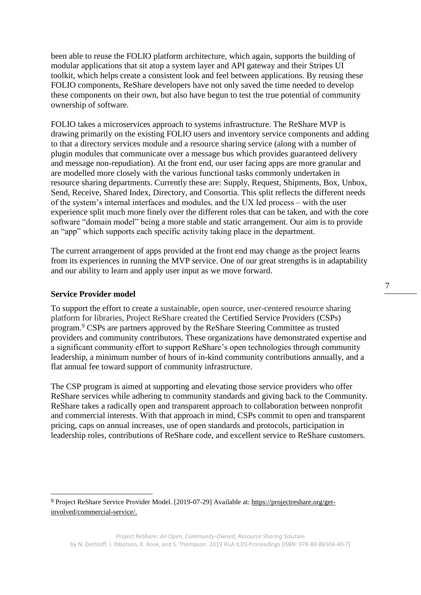been able to reuse the FOLIO platform architecture, which again, supports the building of modular applications that sit atop a system layer and API gateway and their Stripes UI toolkit, which helps create a consistent look and feel between applications. By reusing these FOLIO components, ReShare developers have not only saved the time needed to develop these components on their own, but also have begun to test the true potential of community ownership of software.

FOLIO takes a microservices approach to systems infrastructure. The ReShare MVP is drawing primarily on the existing FOLIO users and inventory service components and adding to that a directory services module and a resource sharing service (along with a number of plugin modules that communicate over a message bus which provides guaranteed delivery and message non-repudiation). At the front end, our user facing apps are more granular and are modelled more closely with the various functional tasks commonly undertaken in resource sharing departments. Currently these are: Supply, Request, Shipments, Box, Unbox, Send, Receive, Shared Index, Directory, and Consortia. This split reflects the different needs of the system's internal interfaces and modules, and the UX led process – with the user experience split much more finely over the different roles that can be taken, and with the core software "domain model" being a more stable and static arrangement. Our aim is to provide an "app" which supports each specific activity taking place in the department.

The current arrangement of apps provided at the front end may change as the project learns from its experiences in running the MVP service. One of our great strengths is in adaptability and our ability to learn and apply user input as we move forward.

## **Service Provider model**

 $\overline{a}$ 

To support the effort to create a sustainable, open source, user-centered resource sharing platform for libraries, Project ReShare created the Certified Service Providers (CSPs) program.<sup>9</sup> CSPs are partners approved by the ReShare Steering Committee as trusted providers and community contributors. These organizations have demonstrated expertise and a significant community effort to support ReShare's open technologies through community leadership, a minimum number of hours of in-kind community contributions annually, and a flat annual fee toward support of community infrastructure.

The CSP program is aimed at supporting and elevating those service providers who offer ReShare services while adhering to community standards and giving back to the Community. ReShare takes a radically open and transparent approach to collaboration between nonprofit and commercial interests. With that approach in mind, CSPs commit to open and transparent pricing, caps on annual increases, use of open standards and protocols, participation in leadership roles, contributions of ReShare code, and excellent service to ReShare customers.

<sup>9</sup> Project ReShare Service Provider Model. [2019-07-29] Available at: [https://projectreshare.org/get](https://projectreshare.org/get-involved/commercial-service/)[involved/commercial-service/.](https://projectreshare.org/get-involved/commercial-service/)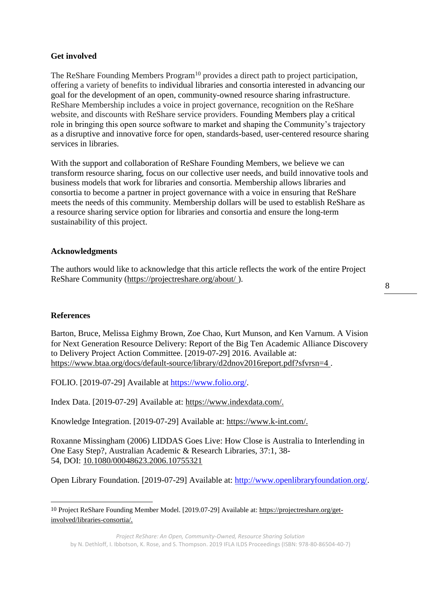# **Get involved**

The ReShare Founding Members Program<sup>10</sup> provides a direct path to project participation, offering a variety of benefits to individual libraries and consortia interested in advancing our goal for the development of an open, community-owned resource sharing infrastructure. ReShare Membership includes a voice in project governance, recognition on the ReShare website, and discounts with ReShare service providers. Founding Members play a critical role in bringing this open source software to market and shaping the Community's trajectory as a disruptive and innovative force for open, standards-based, user-centered resource sharing services in libraries.

With the support and collaboration of ReShare Founding Members, we believe we can transform resource sharing, focus on our collective user needs, and build innovative tools and business models that work for libraries and consortia. Membership allows libraries and consortia to become a partner in project governance with a voice in ensuring that ReShare meets the needs of this community. Membership dollars will be used to establish ReShare as a resource sharing service option for libraries and consortia and ensure the long-term sustainability of this project.

# **Acknowledgments**

The authors would like to acknowledge that this article reflects the work of the entire Project ReShare Community [\(https://projectreshare.org/about/](https://projectreshare.org/about/) ).

## **References**

 $\overline{a}$ 

Barton, Bruce, Melissa Eighmy Brown, Zoe Chao, Kurt Munson, and Ken Varnum. A Vision for Next Generation Resource Delivery: Report of the Big Ten Academic Alliance Discovery to Delivery Project Action Committee. [2019-07-29] 2016. Available at: <https://www.btaa.org/docs/default-source/library/d2dnov2016report.pdf?sfvrsn=4> .

FOLIO. [2019-07-29] Available at [https://www.folio.org/.](https://www.folio.org/)

Index Data. [2019-07-29] Available at: [https://www.indexdata.com/.](https://www.indexdata.com/)

Knowledge Integration. [2019-07-29] Available at: [https://www.k-int.com/.](https://www.k-int.com/)

Roxanne Missingham (2006) LIDDAS Goes Live: How Close is Australia to Interlending in One Easy Step?, Australian Academic & Research Libraries, 37:1, 38- 54, DOI: [10.1080/00048623.2006.10755321](https://doi.org/10.1080/00048623.2006.10755321)

Open Library Foundation. [2019-07-29] Available at: [http://www.openlibraryfoundation.org/.](http://www.openlibraryfoundation.org/)

<sup>10</sup> Project ReShare Founding Member Model. [2019.07-29] Available at: [https://projectreshare.org/get](https://projectreshare.org/get-involved/libraries-consortia/)[involved/libraries-consortia/.](https://projectreshare.org/get-involved/libraries-consortia/)